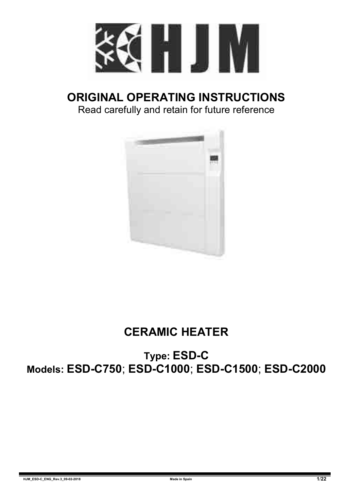

## **ORIGINAL OPERATING INSTRUCTIONS**

Read carefully and retain for future reference



## **CERAMIC HEATER**

**Type: ESD-C Models: ESD-C750**; **ESD-C1000**; **ESD-C1500**; **ESD-C2000**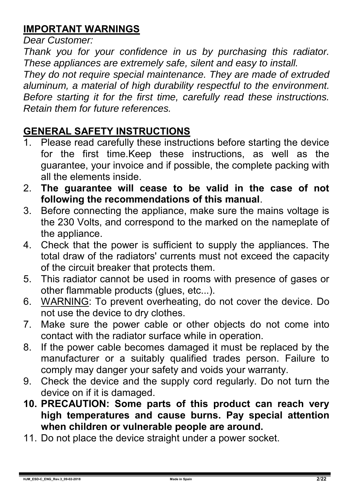## **IMPORTANT WARNINGS**

*Dear Customer:* 

*Thank you for your confidence in us by purchasing this radiator. These appliances are extremely safe, silent and easy to install.* 

*They do not require special maintenance. They are made of extruded aluminum, a material of high durability respectful to the environment. Before starting it for the first time, carefully read these instructions. Retain them for future references.* 

# **GENERAL SAFETY INSTRUCTIONS**<br>1 Please read carefully these instruct

- Please read carefully these instructions before starting the device for the first time.Keep these instructions, as well as the guarantee, your invoice and if possible, the complete packing with all the elements inside.
- 2. **The guarantee will cease to be valid in the case of not following the recommendations of this manual**.
- 3. Before connecting the appliance, make sure the mains voltage is the 230 Volts, and correspond to the marked on the nameplate of the appliance.
- 4. Check that the power is sufficient to supply the appliances. The total draw of the radiators' currents must not exceed the capacity of the circuit breaker that protects them.
- 5. This radiator cannot be used in rooms with presence of gases or other flammable products (glues, etc...).
- 6. WARNING: To prevent overheating, do not cover the device. Do not use the device to dry clothes.
- 7. Make sure the power cable or other objects do not come into contact with the radiator surface while in operation.
- 8. If the power cable becomes damaged it must be replaced by the manufacturer or a suitably qualified trades person. Failure to comply may danger your safety and voids your warranty.
- 9. Check the device and the supply cord regularly. Do not turn the device on if it is damaged.
- **10. PRECAUTION: Some parts of this product can reach very high temperatures and cause burns. Pay special attention when children or vulnerable people are around.**
- 11. Do not place the device straight under a power socket.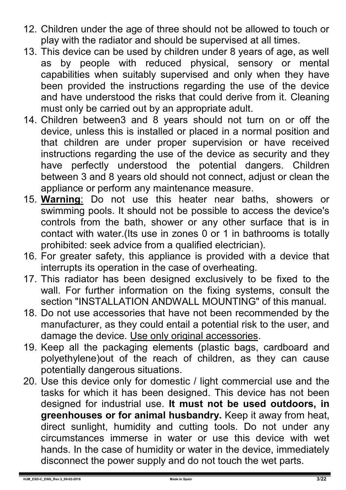- 12. Children under the age of three should not be allowed to touch or play with the radiator and should be supervised at all times.
- 13. This device can be used by children under 8 years of age, as well as by people with reduced physical, sensory or mental capabilities when suitably supervised and only when they have been provided the instructions regarding the use of the device and have understood the risks that could derive from it. Cleaning must only be carried out by an appropriate adult.
- 14. Children between3 and 8 years should not turn on or off the device, unless this is installed or placed in a normal position and that children are under proper supervision or have received instructions regarding the use of the device as security and they have perfectly understood the potential dangers. Children between 3 and 8 years old should not connect, adjust or clean the appliance or perform any maintenance measure.
- 15. **Warning**: Do not use this heater near baths, showers or swimming pools. It should not be possible to access the device's controls from the bath, shower or any other surface that is in contact with water.(Its use in zones 0 or 1 in bathrooms is totally prohibited: seek advice from a qualified electrician).
- 16. For greater safety, this appliance is provided with a device that interrupts its operation in the case of overheating.
- 17. This radiator has been designed exclusively to be fixed to the wall. For further information on the fixing systems, consult the section "INSTALLATION ANDWALL MOUNTING" of this manual.
- 18. Do not use accessories that have not been recommended by the manufacturer, as they could entail a potential risk to the user, and damage the device. Use only original accessories.
- 19. Keep all the packaging elements (plastic bags, cardboard and polyethylene)out of the reach of children, as they can cause potentially dangerous situations.
- 20. Use this device only for domestic / light commercial use and the tasks for which it has been designed. This device has not been designed for industrial use. **It must not be used outdoors, in greenhouses or for animal husbandry.** Keep it away from heat, direct sunlight, humidity and cutting tools. Do not under any circumstances immerse in water or use this device with wet hands. In the case of humidity or water in the device, immediately disconnect the power supply and do not touch the wet parts.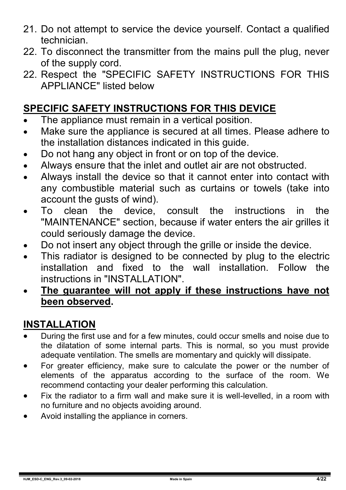- 21. Do not attempt to service the device yourself. Contact a qualified technician.
- 22. To disconnect the transmitter from the mains pull the plug, never of the supply cord.
- 22. Respect the "SPECIFIC SAFETY INSTRUCTIONS FOR THIS APPLIANCE" listed below

#### **SPECIFIC SAFETY INSTRUCTIONS FOR THIS DEVICE**

- The appliance must remain in a vertical position.
- Make sure the appliance is secured at all times. Please adhere to the installation distances indicated in this guide.
- Do not hang any object in front or on top of the device.
- Always ensure that the inlet and outlet air are not obstructed.
- Always install the device so that it cannot enter into contact with any combustible material such as curtains or towels (take into account the gusts of wind).
- To clean the device, consult the instructions in the "MAINTENANCE" section, because if water enters the air grilles it could seriously damage the device.
- Do not insert any object through the grille or inside the device.
- This radiator is designed to be connected by plug to the electric installation and fixed to the wall installation. Follow the instructions in "INSTALLATION".
- **The guarantee will not apply if these instructions have not been observed.**

#### **INSTALLATION**

- During the first use and for a few minutes, could occur smells and noise due to the dilatation of some internal parts. This is normal, so you must provide adequate ventilation. The smells are momentary and quickly will dissipate.
- For greater efficiency, make sure to calculate the power or the number of elements of the apparatus according to the surface of the room. We recommend contacting your dealer performing this calculation.
- Fix the radiator to a firm wall and make sure it is well-levelled, in a room with no furniture and no objects avoiding around.
- Avoid installing the appliance in corners.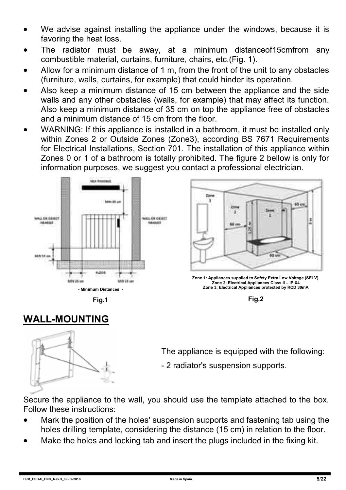- We advise against installing the appliance under the windows, because it is favoring the heat loss.
- The radiator must be away, at a minimum distanceof15cmfrom any combustible material, curtains, furniture, chairs, etc.(Fig. 1).
- Allow for a minimum distance of 1 m, from the front of the unit to any obstacles (furniture, walls, curtains, for example) that could hinder its operation.
- Also keep a minimum distance of 15 cm between the appliance and the side walls and any other obstacles (walls, for example) that may affect its function. Also keep a minimum distance of 35 cm on top the appliance free of obstacles and a minimum distance of 15 cm from the floor.
- WARNING: If this appliance is installed in a bathroom, it must be installed only within Zones 2 or Outside Zones (Zone3), according BS 7671 Requirements for Electrical Installations, Section 701. The installation of this appliance within Zones 0 or 1 of a bathroom is totally prohibited. The figure 2 bellow is only for information purposes, we suggest you contact a professional electrician.





**Zone 1: Appliances supplied to Safety Extra Low Voltage (SELV). Zone 2: Electrical Appliances Class II – IP X4 Zone 3: Electrical Appliances protected by RCD 30mA**



#### **WALL-MOUNTING**



The appliance is equipped with the following:

- 2 radiator's suspension supports.

Secure the appliance to the wall, you should use the template attached to the box. Follow these instructions:

- Mark the position of the holes' suspension supports and fastening tab using the holes drilling template, considering the distance (15 cm) in relation to the floor.
- Make the holes and locking tab and insert the plugs included in the fixing kit.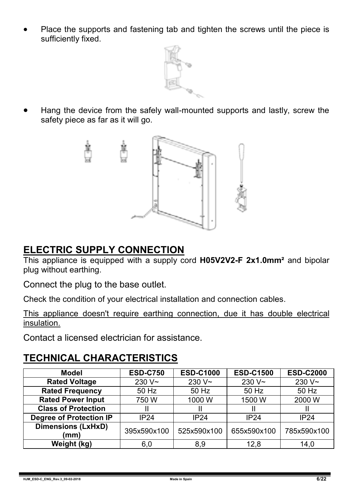Place the supports and fastening tab and tighten the screws until the piece is sufficiently fixed.



 Hang the device from the safely wall-mounted supports and lastly, screw the safety piece as far as it will go.



#### **ELECTRIC SUPPLY CONNECTION**

This appliance is equipped with a supply cord **H05V2V2-F 2x1.0mm²** and bipolar plug without earthing.

Connect the plug to the base outlet.

Check the condition of your electrical installation and connection cables.

This appliance doesn't require earthing connection, due it has double electrical insulation.

Contact a licensed electrician for assistance.

#### **TECHNICAL CHARACTERISTICS**

| Model                             | <b>ESD-C750</b> | <b>ESD-C1000</b> | <b>ESD-C1500</b>   | <b>ESD-C2000</b> |  |
|-----------------------------------|-----------------|------------------|--------------------|------------------|--|
| <b>Rated Voltage</b>              | $230V -$        | $230V -$         | 230 V <sub>~</sub> | $230V -$         |  |
| <b>Rated Frequency</b>            | 50 Hz           | 50 Hz            | 50 Hz              | 50 Hz            |  |
| <b>Rated Power Input</b>          | 750W            | 1000W            | 1500 W             | 2000 W           |  |
| <b>Class of Protection</b>        |                 |                  |                    |                  |  |
| Degree of Protection IP           | <b>IP24</b>     | <b>IP24</b>      | <b>IP24</b>        | IP24             |  |
| <b>Dimensions (LxHxD)</b><br>(mm) | 395x590x100     | 525x590x100      | 655x590x100        | 785x590x100      |  |
| Weight (kg)                       | 6,0             | 8,9              | 12.8               | 14,0             |  |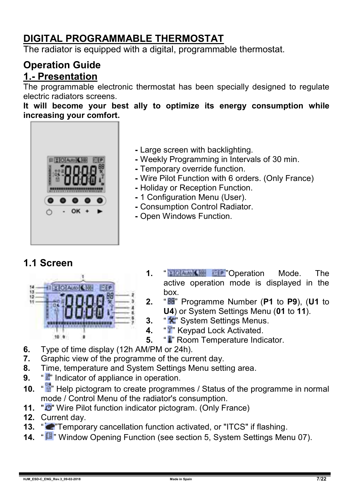#### **DIGITAL PROGRAMMABLE THERMOSTAT**

The radiator is equipped with a digital, programmable thermostat.

#### **Operation Guide 1.- Presentation**

The programmable electronic thermostat has been specially designed to regulate electric radiators screens.

**It will become your best ally to optimize its energy consumption while increasing your comfort.**



- **-** Large screen with backlighting.
- **-** Weekly Programming in Intervals of 30 min.
- **-** Temporary override function.
- **-** Wire Pilot Function with 6 orders. (Only France)
- **-** Holiday or Reception Function.
- **-** 1 Configuration Menu (User).
- **-** Consumption Control Radiator.
- **-** Open Windows Function.

#### **1.1 Screen**



- **1.** " "Operation Mode. The active operation mode is displayed in the box.
- **2.** " " Programme Number (**P1** to **P9**), (**U1** to **U4**) or System Settings Menu (**01** to **11**).
- **3.** "<sup>\*</sup> System Settings Menus.
- **4.** "**T**" Keypad Lock Activated.<br>**5.** "I" Room Temperature India
	- **5.** " " Room Temperature Indicator.
- **6.** Type of time display (12h AM/PM or 24h).<br>**7.** Graphic view of the programme of the curr
- **7.** Graphic view of the programme of the current day.
- **8.** Time, temperature and System Settings Menu setting area.
- **9.** " **"** Indicator of appliance in operation.
- **10.** "<sup>2</sup> Help pictogram to create programmes / Status of the programme in normal mode / Control Menu of the radiator's consumption.
- **11.** " **"** Wire Pilot function indicator pictogram. (Only France)
- **12.** Current day.
- **13.** " **P**Temporary cancellation function activated, or "ITCS" if flashing.
- **14.** "  $\mathbb{F}$ " Window Opening Function (see section 5, System Settings Menu 07).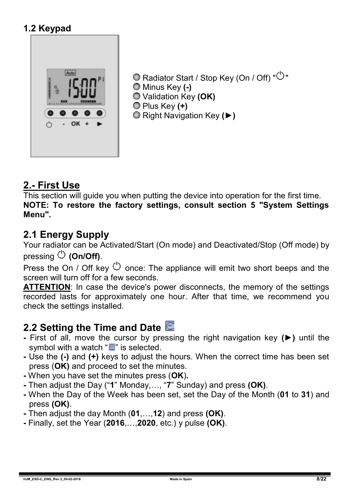#### **1.2 Keypad**



 $\bigcirc$  Radiator Start / Stop Key (On / Off) " $\bigcirc$ " Minus Key **(-)** Validation Key **(OK)** Plus Key **(+)** Right Navigation Key **(►)**

#### **2.- First Use**

This section will guide you when putting the device into operation for the first time. **NOTE: To restore the factory settings, consult section 5 "System Settings Menu".**

#### **2.1 Energy Supply**

Your radiator can be Activated/Start (On mode) and Deactivated/Stop (Off mode) by pressing **(On/Off)**.

Press the On / Off key  $\circlearrowright$  once: The appliance will emit two short beeps and the screen will turn off for a few seconds.

**ATTENTION**: In case the device's power disconnects, the memory of the settings recorded lasts for approximately one hour. After that time, we recommend you check the settings installed.

#### **2.2 Setting the Time and Date**

- **-** First of all, move the cursor by pressing the right navigation key **(►)** until the symbol with a watch " $\blacksquare$ " is selected.
- **-** Use the **(-)** and **(+)** keys to adjust the hours. When the correct time has been set press (**OK)** and proceed to set the minutes.
- **-** When you have set the minutes press (**OK**)**.**
- **-** Then adjust the Day ("**1**" Monday,…, "**7**" Sunday) and press **(OK)**.
- **-** When the Day of the Week has been set, set the Day of the Month (**01** to **31**) and press **(OK)**.
- **-** Then adjust the day Month (**01**,…,**12**) and press **(OK)**.
- **-** Finally, set the Year (**2016**,…,**2020**, etc.) y pulse **(OK)**.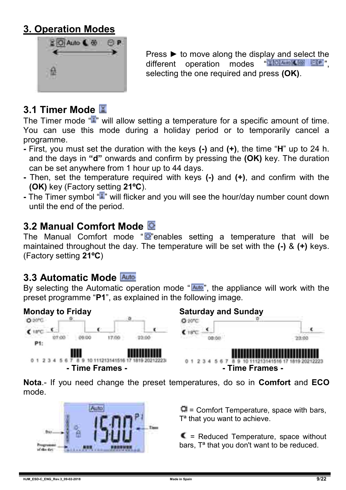#### **3. Operation Modes**



Press ► to move along the display and select the different operation modes "National Soft" operation modes selecting the one required and press **(OK)**.

## **3.1 Timer Mode**

The Timer mode "" will allow setting a temperature for a specific amount of time. You can use this mode during a holiday period or to temporarily cancel a programme.

- **-** First, you must set the duration with the keys **(-)** and **(+)**, the time "**H**" up to 24 h. and the days in **"d"** onwards and confirm by pressing the **(OK)** key. The duration can be set anywhere from 1 hour up to 44 days.
- **-** Then, set the temperature required with keys **(-)** and **(+)**, and confirm with the **(OK)** key (Factory setting **21ºC**).
- **-** The Timer symbol " " will flicker and you will see the hour/day number count down until the end of the period.

#### **3.2 Manual Comfort Mode**

The Manual Comfort mode " $\Phi$ " enables setting a temperature that will be maintained throughout the day. The temperature will be set with the **(-)** & **(+)** keys. (Factory setting **21ºC**)

#### **3.3 Automatic Mode**

By selecting the Automatic operation mode " $\frac{\text{Aulo}}{\text{Aulo}}$ ", the appliance will work with the preset programme "**P1**", as explained in the following image.



**Nota**.- If you need change the preset temperatures, do so in **Comfort** and **ECO** mode.



 $\Box$  = Comfort Temperature, space with bars, T<sup>a</sup> that you want to achieve.

 $\blacksquare$  = Reduced Temperature, space without bars. T<sup>a</sup> that you don't want to be reduced.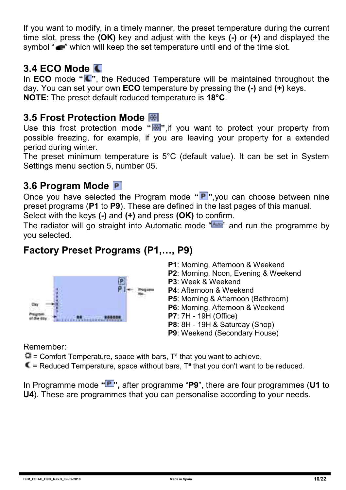If you want to modify, in a timely manner, the preset temperature during the current time slot, press the **(OK)** key and adjust with the keys **(-)** or **(+)** and displayed the symbol " $\blacksquare$ " which will keep the set temperature until end of the time slot.

#### **3.4 ECO Mode**

In **ECO** mode "  $\bullet$ ", the Reduced Temperature will be maintained throughout the day. You can set your own **ECO** temperature by pressing the **(-)** and **(+)** keys. **NOTE**: The preset default reduced temperature is **18°C**.

#### **3.5 Frost Protection Mode**

Use this frost protection mode "**\***,if you want to protect your property from possible freezing, for example, if you are leaving your property for a extended period during winter.

The preset minimum temperature is 5°C (default value). It can be set in System Settings menu section 5, number 05.

#### **3.6 Program Mode**

Once you have selected the Program mode "P", you can choose between nine preset programs (**P1** to **P9**). These are defined in the last pages of this manual.

Select with the keys **(-)** and **(+)** and press **(OK)** to confirm.

The radiator will go straight into Automatic mode " and run the programme by you selected.

#### **Factory Preset Programs (P1,…, P9)**



- **P1**: Morning, Afternoon & Weekend
- **P2**: Morning, Noon, Evening & Weekend
- **P3**: Week & Weekend
- **P4**: Afternoon & Weekend
- **P5**: Morning & Afternoon (Bathroom)
- **P6**: Morning, Afternoon & Weekend
- **P7**: 7H 19H (Office)
- **P8**: 8H 19H & Saturday (Shop)
- **P9**: Weekend (Secondary House)

Remember:

 $\Box$  = Comfort Temperature, space with bars,  $T^a$  that you want to achieve.

 $\blacksquare$  = Reduced Temperature, space without bars. T<sup>a</sup> that you don't want to be reduced.

In Programme mode "**P**", after programme "P9", there are four programmes (U1 to **U4**). These are programmes that you can personalise according to your needs.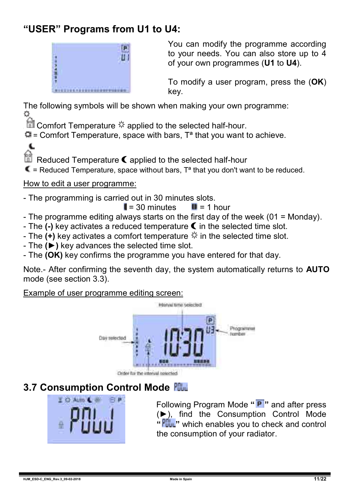#### **"USER" Programs from U1 to U4:**



You can modify the programme according to your needs. You can also store up to 4 of your own programmes (**U1** to **U4**).

To modify a user program, press the (**OK**) key.

The following symbols will be shown when making your own programme:

**all** Comfort Temperature  $*$  applied to the selected half-hour.

 $\Box$  = Comfort Temperature, space with bars. T<sup>a</sup> that you want to achieve.

Reduced Temperature  $\blacksquare$  applied to the selected half-hour

 $\blacksquare$  = Reduced Temperature, space without bars,  $T^a$  that you don't want to be reduced.

#### How to edit a user programme:

 $\epsilon$ 

- The programming is carried out in 30 minutes slots.

 $\parallel$  = 30 minutes  $\parallel$  = 1 hour

- The programme editing always starts on the first day of the week (01 = Monday).
- The (-) key activates a reduced temperature  $\blacksquare$  in the selected time slot.
- The  $(+)$  key activates a comfort temperature  $\ddot{\mathcal{K}}$  in the selected time slot.
- The **(►)** key advances the selected time slot.
- The **(OK)** key confirms the programme you have entered for that day.

Note.- After confirming the seventh day, the system automatically returns to **AUTO** mode (see section 3.3).

Example of user programme editing screen:



#### **3.7 Consumption Control Mode**



Following Program Mode **" "** and after press (►), find the Consumption Control Mode **" "** which enables you to check and control the consumption of your radiator.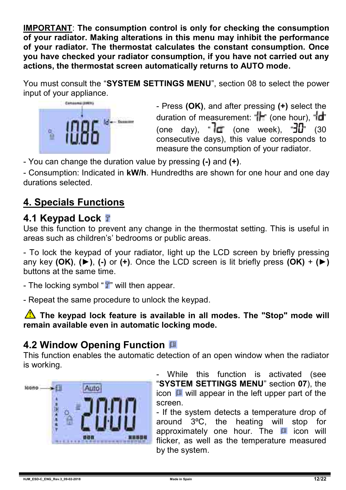**IMPORTANT**: **The consumption control is only for checking the consumption of your radiator. Making alterations in this menu may inhibit the performance of your radiator. The thermostat calculates the constant consumption. Once you have checked your radiator consumption, if you have not carried out any actions, the thermostat screen automatically returns to AUTO mode.** 

You must consult the "**SYSTEM SETTINGS MENU**", section 08 to select the power input of your appliance.



- Press **(OK)**, and after pressing **(+)** select the duration of measurement: " $\mathbf{r}$ " (one hour), " $\mathbf{r}$ " (one day), " $\overline{d}$ " (one week), " $\overline{d}$ " (30 consecutive days), this value corresponds to measure the consumption of your radiator.

- You can change the duration value by pressing **(-)** and **(+)**.

- Consumption: Indicated in **kW/h**. Hundredths are shown for one hour and one day durations selected.

## **4. Specials Functions**

#### **4.1 Keypad Lock**

Use this function to prevent any change in the thermostat setting. This is useful in areas such as children's' bedrooms or public areas.

- To lock the keypad of your radiator, light up the LCD screen by briefly pressing any key **(OK)**, **(►)**, **(-)** or **(+)**. Once the LCD screen is lit briefly press **(OK)** + **(►)** buttons at the same time.

- The locking symbol "If" will then appear.

- Repeat the same procedure to unlock the keypad.

**The keypad lock feature is available in all modes. The "Stop" mode will remain available even in automatic locking mode.**

#### **4.2 Window Opening Function**

This function enables the automatic detection of an open window when the radiator is working.



- While this function is activated (see "**SYSTEM SETTINGS MENU**" section **07**), the icon  $\mathbf \mu$  will appear in the left upper part of the screen.

- If the system detects a temperature drop of around 3ºC, the heating will stop for approximately one hour. The  $\Box$  icon will flicker, as well as the temperature measured by the system.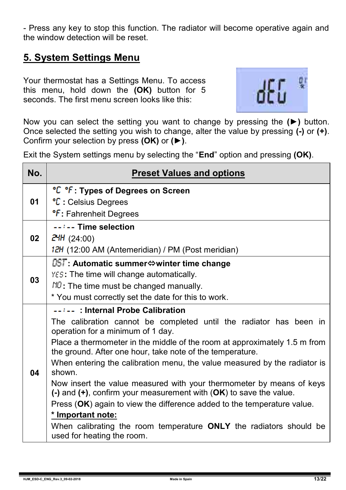- Press any key to stop this function. The radiator will become operative again and the window detection will be reset.

#### **5. System Settings Menu**

Your thermostat has a Settings Menu. To access this menu, hold down the **(OK)** button for 5 seconds. The first menu screen looks like this:



Now you can select the setting you want to change by pressing the **(►)** button. Once selected the setting you wish to change, alter the value by pressing **(-)** or **(+)**. Confirm your selection by press **(OK)** or **(►)**.

Exit the System settings menu by selecting the "**End**" option and pressing **(OK)**.

| No. | <b>Preset Values and options</b>                                                                                                                                                                                                                                                                                                                                                                                                                                                                                                                                                                                                                                                                                                |
|-----|---------------------------------------------------------------------------------------------------------------------------------------------------------------------------------------------------------------------------------------------------------------------------------------------------------------------------------------------------------------------------------------------------------------------------------------------------------------------------------------------------------------------------------------------------------------------------------------------------------------------------------------------------------------------------------------------------------------------------------|
| 01  | °C °F: Types of Degrees on Screen<br>°C : Celsius Degrees                                                                                                                                                                                                                                                                                                                                                                                                                                                                                                                                                                                                                                                                       |
|     | <b><sup>o</sup>f</b> : Fahrenheit Degrees                                                                                                                                                                                                                                                                                                                                                                                                                                                                                                                                                                                                                                                                                       |
| 02  | --:-- Time selection<br>24H (24:00)<br>12H (12:00 AM (Antemeridian) / PM (Post meridian)                                                                                                                                                                                                                                                                                                                                                                                                                                                                                                                                                                                                                                        |
| 03  | <b>DST: Automatic summer⇔winter time change</b><br>YES: The time will change automatically.<br>$NQ$ : The time must be changed manually.<br>* You must correctly set the date for this to work.                                                                                                                                                                                                                                                                                                                                                                                                                                                                                                                                 |
| 04  | --:--: Internal Probe Calibration<br>The calibration cannot be completed until the radiator has been in<br>operation for a minimum of 1 day.<br>Place a thermometer in the middle of the room at approximately 1.5 m from<br>the ground. After one hour, take note of the temperature.<br>When entering the calibration menu, the value measured by the radiator is<br>shown.<br>Now insert the value measured with your thermometer by means of keys<br>(-) and (+), confirm your measurement with (OK) to save the value.<br>Press (OK) again to view the difference added to the temperature value.<br>* Important note:<br>When calibrating the room temperature ONLY the radiators should be<br>used for heating the room. |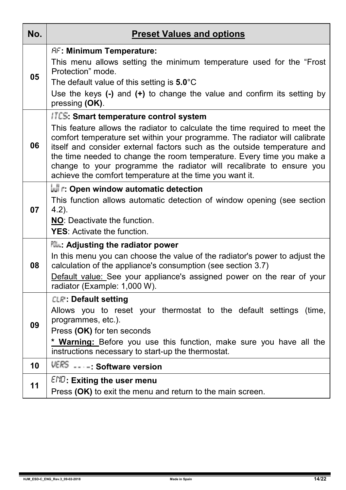| No. | <b>Preset Values and options</b>                                                                                                                                                                                                                                                                                                                                                                                                                                                                    |
|-----|-----------------------------------------------------------------------------------------------------------------------------------------------------------------------------------------------------------------------------------------------------------------------------------------------------------------------------------------------------------------------------------------------------------------------------------------------------------------------------------------------------|
| 05  | <b>AF: Minimum Temperature:</b><br>This menu allows setting the minimum temperature used for the "Frost"<br>Protection" mode.<br>The default value of this setting is $5.0^{\circ}$ C<br>Use the keys $(-)$ and $(+)$ to change the value and confirm its setting by<br>pressing (OK).                                                                                                                                                                                                              |
| 06  | <b>ITCS: Smart temperature control system</b><br>This feature allows the radiator to calculate the time required to meet the<br>comfort temperature set within your programme. The radiator will calibrate<br>itself and consider external factors such as the outside temperature and<br>the time needed to change the room temperature. Every time you make a<br>change to your programme the radiator will recalibrate to ensure you<br>achieve the comfort temperature at the time you want it. |
| 07  | r: Open window automatic detection<br>This function allows automatic detection of window opening (see section<br>$4.2$ ).<br>NO: Deactivate the function.<br>YES: Activate the function.                                                                                                                                                                                                                                                                                                            |
| 08  | <b>Plu: Adjusting the radiator power</b><br>In this menu you can choose the value of the radiator's power to adjust the<br>calculation of the appliance's consumption (see section 3.7)<br>Default value: See your appliance's assigned power on the rear of your<br>radiator (Example: 1,000 W).                                                                                                                                                                                                   |
| 09  | <b>CLR: Default setting</b><br>Allows you to reset your thermostat to the default settings (time,<br>programmes, etc.).<br>Press (OK) for ten seconds<br>* Warning: Before you use this function, make sure you have all the<br>instructions necessary to start-up the thermostat.                                                                                                                                                                                                                  |
| 10  | VERS ---- Software version                                                                                                                                                                                                                                                                                                                                                                                                                                                                          |
| 11  | $END$ : Exiting the user menu<br>Press (OK) to exit the menu and return to the main screen.                                                                                                                                                                                                                                                                                                                                                                                                         |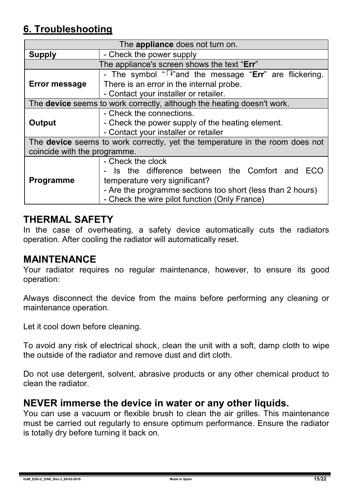#### **6. Troubleshooting**

| The appliance does not turn on.                                                                                     |                                                                                                                                                                                                                      |  |  |  |  |  |  |
|---------------------------------------------------------------------------------------------------------------------|----------------------------------------------------------------------------------------------------------------------------------------------------------------------------------------------------------------------|--|--|--|--|--|--|
| <b>Supply</b>                                                                                                       | - Check the power supply                                                                                                                                                                                             |  |  |  |  |  |  |
|                                                                                                                     | The appliance's screen shows the text "Err"                                                                                                                                                                          |  |  |  |  |  |  |
| Error message                                                                                                       | - The symbol " $\sqrt[n]{s}$ " and the message "Err" are flickering.<br>There is an error in the internal probe.<br>- Contact your installer or retailer.                                                            |  |  |  |  |  |  |
|                                                                                                                     | The device seems to work correctly, although the heating doesn't work.                                                                                                                                               |  |  |  |  |  |  |
| Output                                                                                                              | - Check the connections.<br>- Check the power supply of the heating element.<br>- Contact your installer or retailer                                                                                                 |  |  |  |  |  |  |
| The <b>device</b> seems to work correctly, yet the temperature in the room does not<br>coincide with the programme. |                                                                                                                                                                                                                      |  |  |  |  |  |  |
| <b>Programme</b>                                                                                                    | - Check the clock<br>- Is the difference between the Comfort and ECO<br>temperature very significant?<br>- Are the programme sections too short (less than 2 hours)<br>- Check the wire pilot function (Only France) |  |  |  |  |  |  |

#### **THERMAL SAFETY**

In the case of overheating, a safety device automatically cuts the radiators operation. After cooling the radiator will automatically reset.

#### **MAINTENANCE**

Your radiator requires no regular maintenance, however, to ensure its good operation:

Always disconnect the device from the mains before performing any cleaning or maintenance operation.

Let it cool down before cleaning.

To avoid any risk of electrical shock, clean the unit with a soft, damp cloth to wipe the outside of the radiator and remove dust and dirt cloth.

Do not use detergent, solvent, abrasive products or any other chemical product to clean the radiator.

#### **NEVER immerse the device in water or any other liquids.**

You can use a vacuum or flexible brush to clean the air grilles. This maintenance must be carried out regularly to ensure optimum performance. Ensure the radiator is totally dry before turning it back on.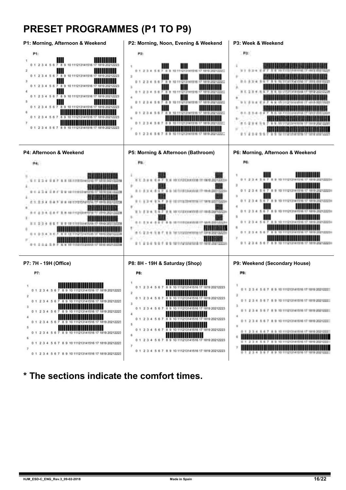#### **PRESET PROGRAMMES (P1 TO P9)**



**\* The sections indicate the comfort times.**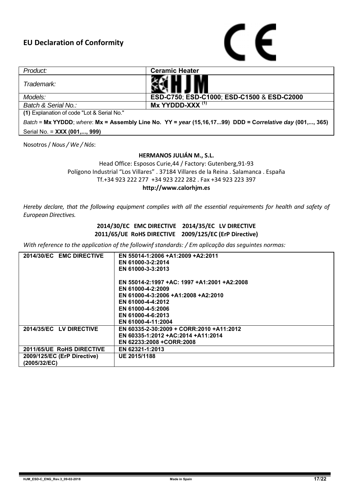

| Product:                                                                                                 | <b>Ceramic Heater</b>                      |  |  |  |  |
|----------------------------------------------------------------------------------------------------------|--------------------------------------------|--|--|--|--|
| Trademark:                                                                                               |                                            |  |  |  |  |
| Models:                                                                                                  | ESD-C750: ESD-C1000: ESD-C1500 & ESD-C2000 |  |  |  |  |
| Batch & Serial No.:                                                                                      | $Mx$ YYDDD-XXX $(1)$                       |  |  |  |  |
| (1) Explanation of code "Lot & Serial No."                                                               |                                            |  |  |  |  |
| Batch = Mx YYDDD; where: Mx = Assembly Line No. YY = year (15,16,1799) DDD = Correlative day (001,, 365) |                                            |  |  |  |  |

Serial No. = **XXX (001,..., 999)**

Nosotros / *Nous / We / Nós*:

#### **HERMANOS JULIÁN M., S.L.**

Head Office: Esposos Curie,44 / Factory: Gutenberg,91-93 Polígono Industrial "Los Villares" . 37184 Villares de la Reina . Salamanca . España Tf.+34 923 222 277 +34 923 222 282 . Fax +34 923 223 397 **http://www.calorhjm.es**

*Hereby declare, that the following equipment complies with all the essential requirements for health and safety of European Directives.*

#### **2014/30/EC EMC DIRECTIVE 2014/35/EC LV DIRECTIVE 2011/65/UE RoHS DIRECTIVE 2009/125/EC (ErP Directive)**

*With reference to the application of the followinf standards: / Em aplicação das seguintes normas:*

| 2014/30/EC EMC DIRECTIVE    | EN 55014-1:2006 +A1:2009 +A2:2011           |
|-----------------------------|---------------------------------------------|
|                             | EN 61000-3-2:2014                           |
|                             | EN 61000-3-3:2013                           |
|                             | EN 55014-2:1997 +AC: 1997 +A1:2001 +A2:2008 |
|                             | EN 61000-4-2:2009                           |
|                             | EN 61000-4-3:2006 +A1:2008 +A2:2010         |
|                             | EN 61000-4-4:2012                           |
|                             | EN 61000-4-5:2006                           |
|                             | EN 61000-4-6:2013                           |
|                             | EN 61000-4-11:2004                          |
| 2014/35/EC LV DIRECTIVE     | EN 60335-2-30:2009 + CORR:2010 +A11:2012    |
|                             | EN 60335-1:2012 +AC:2014 +A11:2014          |
|                             | EN 62233:2008 +CORR:2008                    |
| 2011/65/UE RoHS DIRECTIVE   | EN 62321-1:2013                             |
| 2009/125/EC (ErP Directive) | UE 2015/1188                                |
| (2005/32/EC)                |                                             |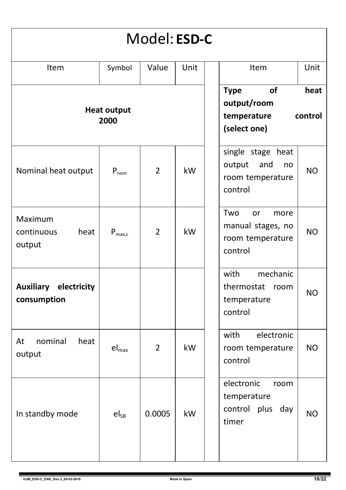| Model: ESD-C                                |                    |                |      |                                                                                           |  |
|---------------------------------------------|--------------------|----------------|------|-------------------------------------------------------------------------------------------|--|
| Item                                        | Symbol             | Value          | Unit | Unit<br>Item                                                                              |  |
| <b>Heat output</b><br>2000                  |                    |                |      | of<br><b>Type</b><br>heat<br>output/room<br>temperature<br>control<br>(select one)        |  |
| Nominal heat output                         | $P_{nom}$          | $\overline{2}$ | kW   | single stage heat<br>output<br>and<br>no<br><b>NO</b><br>room temperature<br>control      |  |
| Maximum<br>continuous<br>heat<br>output     | $P_{\text{max.c}}$ | $\overline{2}$ | kW   | Two<br><b>or</b><br>more<br>manual stages, no<br><b>NO</b><br>room temperature<br>control |  |
| <b>Auxiliary electricity</b><br>consumption |                    |                |      | with<br>mechanic<br>thermostat<br>room<br><b>NO</b><br>temperature<br>control             |  |
| nominal<br>At<br>heat<br>output             | $el_{max}$         | 2              | kW   | electronic<br>with<br><b>NO</b><br>room temperature<br>control                            |  |
| In standby mode                             | $el_{SB}$          | 0.0005         | kW   | electronic<br>room<br>temperature<br>plus<br>day<br>control<br><b>NO</b><br>timer         |  |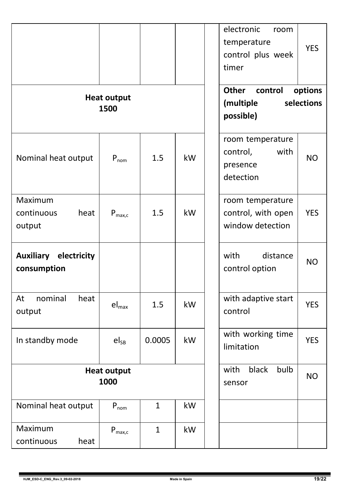|                                             |                    |              |                                        | electronic<br>room<br>temperature<br><b>YES</b><br>control plus week<br>timer<br>options<br>Other<br>control |
|---------------------------------------------|--------------------|--------------|----------------------------------------|--------------------------------------------------------------------------------------------------------------|
| <b>Heat output</b><br>1500                  |                    |              |                                        | selections<br>(multiple<br>possible)                                                                         |
| Nominal heat output                         | $P_{nom}$          | 1.5          | kW                                     | room temperature<br>control,<br>with<br><b>NO</b><br>presence<br>detection                                   |
| Maximum<br>continuous<br>heat<br>output     | $P_{\text{max.c}}$ | 1.5          | kW                                     | room temperature<br>control, with open<br><b>YES</b><br>window detection                                     |
| <b>Auxiliary electricity</b><br>consumption |                    |              |                                        | with<br>distance<br><b>NO</b><br>control option                                                              |
| nominal<br>heat<br>At<br>output             | $el_{max}$         | 1.5          | kW                                     | with adaptive start<br><b>YES</b><br>control                                                                 |
| In standby mode                             | $el_{SB}$          | 0.0005       | kW                                     | with working time<br><b>YES</b><br>limitation                                                                |
| <b>Heat output</b><br>1000                  |                    |              | black<br>bulb<br>with<br>NO.<br>sensor |                                                                                                              |
| Nominal heat output                         | $P_{nom}$          | $\mathbf{1}$ | kW                                     |                                                                                                              |
| Maximum<br>continuous<br>heat               | $P_{\text{max.c}}$ | $\mathbf{1}$ | kW                                     |                                                                                                              |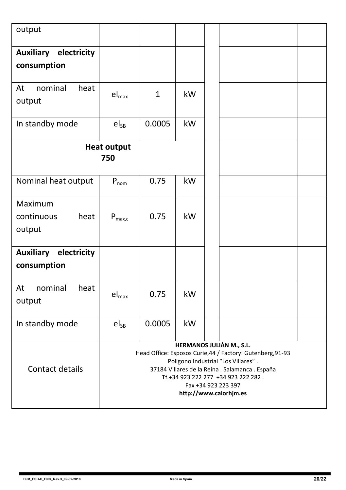| output                                      |                                                                                                                                                                                                                                                                          |              |    |  |  |  |
|---------------------------------------------|--------------------------------------------------------------------------------------------------------------------------------------------------------------------------------------------------------------------------------------------------------------------------|--------------|----|--|--|--|
| Auxiliary electricity<br>consumption        |                                                                                                                                                                                                                                                                          |              |    |  |  |  |
| nominal<br>heat<br>At<br>output             | $\mathsf{el}_{\mathsf{max}}$                                                                                                                                                                                                                                             | $\mathbf{1}$ | kW |  |  |  |
| In standby mode                             | $el_{SB}$                                                                                                                                                                                                                                                                | 0.0005       | kW |  |  |  |
|                                             | <b>Heat output</b><br>750                                                                                                                                                                                                                                                |              |    |  |  |  |
| Nominal heat output                         | $P_{nom}$                                                                                                                                                                                                                                                                | 0.75         | kW |  |  |  |
| Maximum<br>continuous<br>heat<br>output     | $P_{\text{max},c}$                                                                                                                                                                                                                                                       | 0.75         | kW |  |  |  |
| <b>Auxiliary electricity</b><br>consumption |                                                                                                                                                                                                                                                                          |              |    |  |  |  |
| nominal<br>heat<br>At<br>output             | $el_{max}$                                                                                                                                                                                                                                                               | 0.75         | kW |  |  |  |
| In standby mode                             | $el_{SB}$                                                                                                                                                                                                                                                                | 0.0005       | kW |  |  |  |
| Contact details                             | HERMANOS JULIÁN M., S.L.<br>Head Office: Esposos Curie, 44 / Factory: Gutenberg, 91-93<br>Polígono Industrial "Los Villares".<br>37184 Villares de la Reina . Salamanca . España<br>Tf.+34 923 222 277 +34 923 222 282.<br>Fax +34 923 223 397<br>http://www.calorhjm.es |              |    |  |  |  |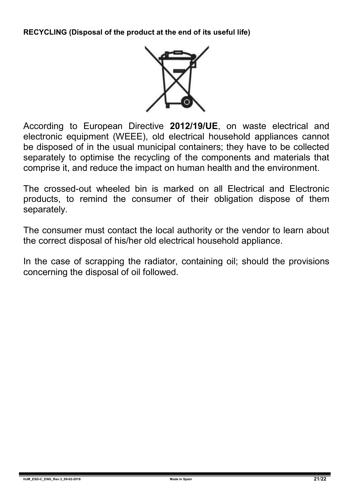**RECYCLING (Disposal of the product at the end of its useful life)**



According to European Directive **2012/19/UE**, on waste electrical and electronic equipment (WEEE), old electrical household appliances cannot be disposed of in the usual municipal containers; they have to be collected separately to optimise the recycling of the components and materials that comprise it, and reduce the impact on human health and the environment.

The crossed-out wheeled bin is marked on all Electrical and Electronic products, to remind the consumer of their obligation dispose of them separately.

The consumer must contact the local authority or the vendor to learn about the correct disposal of his/her old electrical household appliance.

In the case of scrapping the radiator, containing oil; should the provisions concerning the disposal of oil followed.